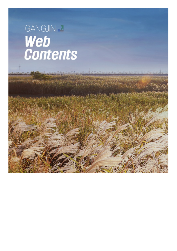## GANGJIN & Web<br>Contents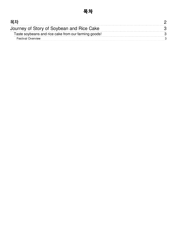<span id="page-1-0"></span>

| 모치                                                   |  |
|------------------------------------------------------|--|
| Journey of Story of Soybean and Rice Cake            |  |
| Taste soybeans and rice cake from our farming goods! |  |
| <b>Festival Overview</b>                             |  |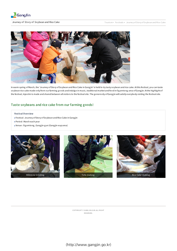

<span id="page-2-0"></span>

In warm spring ofMarch, the 'Journey ofStory ofSoybean and Rice Cake in Gang jin' is held to try tasty soybean and rice cake. Atthis festival, you can taste soybean rice cake made only from our farming goods and indulge in music, traditional market and food in Ogamtong area of Gangjin. At the highlight of the festival, Injeolmi is made and shared between all visitors to the festival site. The g enerosity ofGang jin will satisfy everybody visiting the festival site.

## <span id="page-2-1"></span>Taste soybeans and rice cake from our farming goods!

- <span id="page-2-2"></span>Festival Overview
- Festival : Journey ofStory ofSoybean and Rice Cake in Gang jin
- Period : March each year
- Venue : Og amtong , Gang jin-g un (Gang jin-eup area)



COPYRIG HT ⓒ G ANG JIN-G UN. ALL RIG HT RES ERVED.